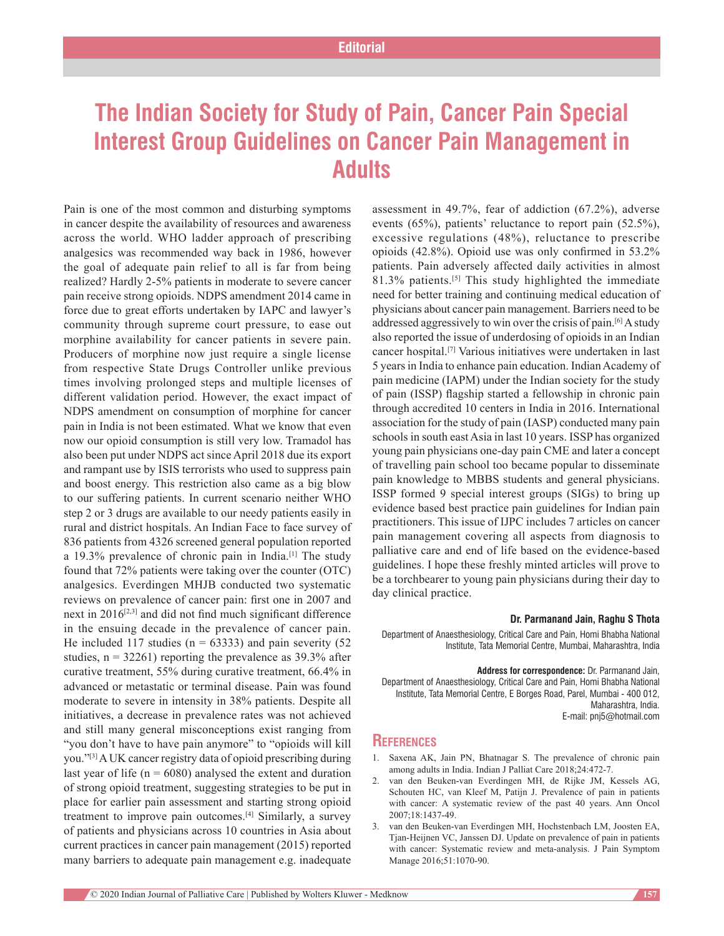## **The Indian Society for Study of Pain, Cancer Pain Special Interest Group Guidelines on Cancer Pain Management in Adults**

Pain is one of the most common and disturbing symptoms in cancer despite the availability of resources and awareness across the world. WHO ladder approach of prescribing analgesics was recommended way back in 1986, however the goal of adequate pain relief to all is far from being realized? Hardly 2‑5% patients in moderate to severe cancer pain receive strong opioids. NDPS amendment 2014 came in force due to great efforts undertaken by IAPC and lawyer's community through supreme court pressure, to ease out morphine availability for cancer patients in severe pain. Producers of morphine now just require a single license from respective State Drugs Controller unlike previous times involving prolonged steps and multiple licenses of different validation period. However, the exact impact of NDPS amendment on consumption of morphine for cancer pain in India is not been estimated. What we know that even now our opioid consumption is still very low. Tramadol has also been put under NDPS act since April 2018 due its export and rampant use by ISIS terrorists who used to suppress pain and boost energy. This restriction also came as a big blow to our suffering patients. In current scenario neither WHO step 2 or 3 drugs are available to our needy patients easily in rural and district hospitals. An Indian Face to face survey of 836 patients from 4326 screened general population reported a 19.3% prevalence of chronic pain in India.[1] The study found that 72% patients were taking over the counter (OTC) analgesics. Everdingen MHJB conducted two systematic reviews on prevalence of cancer pain: first one in 2007 and next in  $2016^{[2,3]}$  and did not find much significant difference in the ensuing decade in the prevalence of cancer pain. He included 117 studies ( $n = 63333$ ) and pain severity (52) studies,  $n = 32261$ ) reporting the prevalence as 39.3% after curative treatment, 55% during curative treatment, 66.4% in advanced or metastatic or terminal disease. Pain was found moderate to severe in intensity in 38% patients. Despite all initiatives, a decrease in prevalence rates was not achieved and still many general misconceptions exist ranging from "you don't have to have pain anymore" to "opioids will kill you."[3] A UK cancer registry data of opioid prescribing during last year of life ( $n = 6080$ ) analysed the extent and duration of strong opioid treatment, suggesting strategies to be put in place for earlier pain assessment and starting strong opioid treatment to improve pain outcomes.[4] Similarly, a survey of patients and physicians across 10 countries in Asia about current practices in cancer pain management (2015) reported many barriers to adequate pain management e.g. inadequate

assessment in 49.7%, fear of addiction (67.2%), adverse events (65%), patients' reluctance to report pain (52.5%), excessive regulations (48%), reluctance to prescribe opioids (42.8%). Opioid use was only confirmed in 53.2% patients. Pain adversely affected daily activities in almost 81.3% patients.[5] This study highlighted the immediate need for better training and continuing medical education of physicians about cancer pain management. Barriers need to be addressed aggressively to win over the crisis of pain.[6] A study also reported the issue of underdosing of opioids in an Indian cancer hospital.[7] Various initiatives were undertaken in last 5 years in India to enhance pain education. Indian Academy of pain medicine (IAPM) under the Indian society for the study of pain (ISSP) flagship started a fellowship in chronic pain through accredited 10 centers in India in 2016. International association for the study of pain (IASP) conducted many pain schools in south east Asia in last 10 years. ISSP has organized young pain physicians one‑day pain CME and later a concept of travelling pain school too became popular to disseminate pain knowledge to MBBS students and general physicians. ISSP formed 9 special interest groups (SIGs) to bring up evidence based best practice pain guidelines for Indian pain practitioners. This issue of IJPC includes 7 articles on cancer pain management covering all aspects from diagnosis to palliative care and end of life based on the evidence-based guidelines. I hope these freshly minted articles will prove to be a torchbearer to young pain physicians during their day to day clinical practice.

## **Dr. Parmanand Jain, Raghu S Thota**

Department of Anaesthesiology, Critical Care and Pain, Homi Bhabha National Institute, Tata Memorial Centre, Mumbai, Maharashtra, India

**Address for correspondence:** Dr. Parmanand Jain, Department of Anaesthesiology, Critical Care and Pain, Homi Bhabha National Institute, Tata Memorial Centre, E Borges Road, Parel, Mumbai - 400 012, Maharashtra, India. E-mail: pnj5@hotmail.com

## **References**

- 1. Saxena AK, Jain PN, Bhatnagar S. The prevalence of chronic pain among adults in India. Indian J Palliat Care 2018;24:472‑7.
- 2. van den Beuken‑van Everdingen MH, de Rijke JM, Kessels AG, Schouten HC, van Kleef M, Patijn J. Prevalence of pain in patients with cancer: A systematic review of the past 40 years. Ann Oncol 2007;18:1437‑49.
- 3. van den Beuken‑van Everdingen MH, Hochstenbach LM, Joosten EA, Tjan‑Heijnen VC, Janssen DJ. Update on prevalence of pain in patients with cancer: Systematic review and meta-analysis. J Pain Symptom Manage 2016;51:1070‑90.